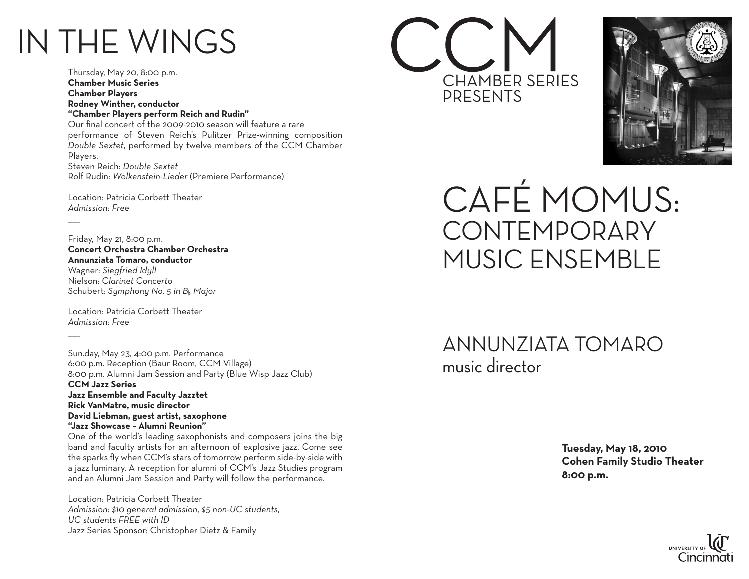## IN THE WINGS

Thursday, May 20, 8:00 p.m. **Chamber Music Series Chamber Players Rodney Winther, conductor "Chamber Players perform Reich and Rudin"** Our final concert of the 2009-2010 season will feature a rare performance of Steven Reich's Pulitzer Prize-winning composition *Double Sextet*, performed by twelve members of the CCM Chamber Players. Steven Reich: *Double Sextet*  Rolf Rudin: *Wolkenstein-Lieder* (Premiere Performance)

Location: Patricia Corbett Theater *Admission: Free*

 $\overline{\phantom{a}}$ 

Friday, May 21, 8:00 p.m. **Concert Orchestra Chamber Orchestra Annunziata Tomaro, conductor** Wagner: *Siegfried Idyll* Nielson: *Clarinet Concerto*

Schubert: *Symphony No. 5 in B*b *Major* Location: Patricia Corbett Theater

*Admission: Free*  $\overline{\phantom{a}}$ 

Sun.day, May 23, 4:00 p.m. Performance 6:00 p.m. Reception (Baur Room, CCM Village) 8:00 p.m. Alumni Jam Session and Party (Blue Wisp Jazz Club) **CCM Jazz Series Jazz Ensemble and Faculty Jazztet Rick VanMatre, music director David Liebman, guest artist, saxophone "Jazz Showcase – Alumni Reunion"** One of the world's leading saxophonists and composers joins the big

band and faculty artists for an afternoon of explosive jazz. Come see the sparks fly when CCM's stars of tomorrow perform side-by-side with a jazz luminary. A reception for alumni of CCM's Jazz Studies program and an Alumni Jam Session and Party will follow the performance.

Location: Patricia Corbett Theater *Admission: \$10 general admission, \$5 non-UC students, UC students FREE with ID* Jazz Series Sponsor: Christopher Dietz & Family





Café MoMus: **CONTEMPORARY** Music Ensemble

Annunziata Tomaro music director

> **Tuesday, May 18, 2010 Cohen Family Studio Theater 8:00 p.m.**